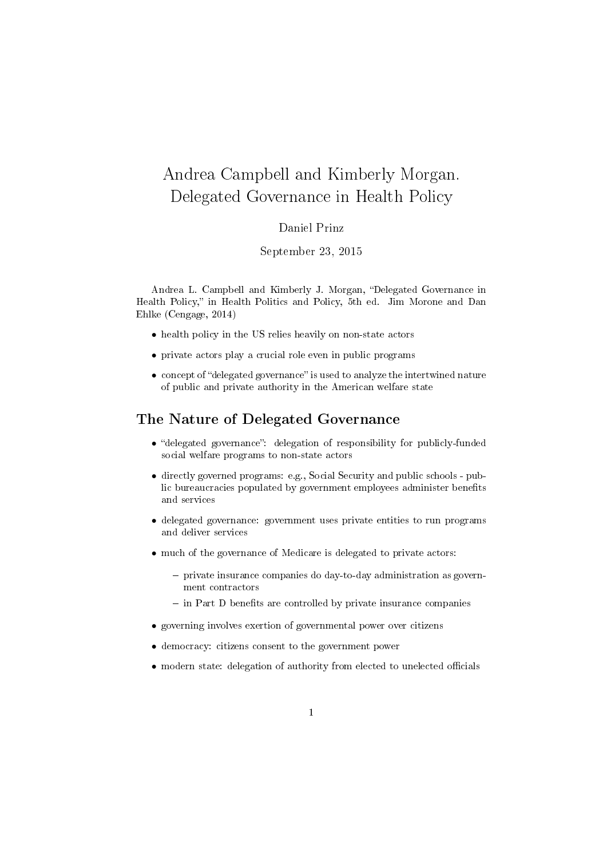# Andrea Campbell and Kimberly Morgan. Delegated Governance in Health Policy

#### Daniel Prinz

#### September 23, 2015

Andrea L. Campbell and Kimberly J. Morgan, "Delegated Governance in Health Policy," in Health Politics and Policy, 5th ed. Jim Morone and Dan Ehlke (Cengage, 2014)

- health policy in the US relies heavily on non-state actors
- private actors play a crucial role even in public programs
- concept of "delegated governance" is used to analyze the intertwined nature of public and private authority in the American welfare state

### The Nature of Delegated Governance

- "delegated governance": delegation of responsibility for publicly-funded social welfare programs to non-state actors
- directly governed programs: e.g., Social Security and public schools public bureaucracies populated by government employees administer benefits and services
- delegated governance: government uses private entities to run programs and deliver services
- much of the governance of Medicare is delegated to private actors:
	- $-$  private insurance companies do day-to-day administration as government contractors
	- $\overline{\phantom{a}}$  in Part D benefits are controlled by private insurance companies
- governing involves exertion of governmental power over citizens
- democracy: citizens consent to the government power
- $\bullet\,$  modern state: delegation of authority from elected to unelected officials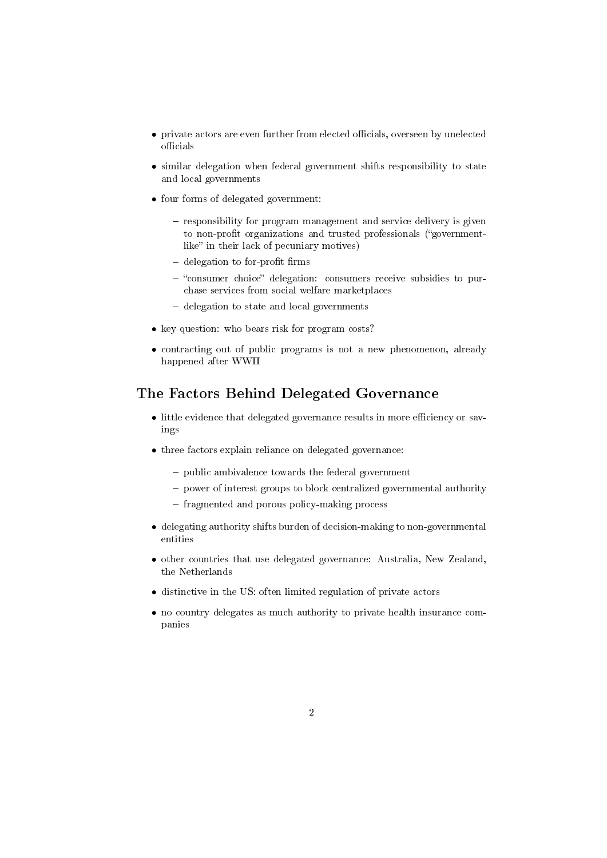- private actors are even further from elected officials, overseen by unelected officials
- similar delegation when federal government shifts responsibility to state and local governments
- four forms of delegated government:
	- $-$  responsibility for program management and service delivery is given to non-profit organizations and trusted professionals ("governmentlike" in their lack of pecuniary motives)
	- $-$  delegation to for-profit firms
	- $-$  "consumer choice" delegation: consumers receive subsidies to purchase services from social welfare marketplaces
	- delegation to state and local governments
- key question: who bears risk for program costs?
- contracting out of public programs is not a new phenomenon, already happened after WWII

## The Factors Behind Delegated Governance

- $\bullet$  little evidence that delegated governance results in more efficiency or savings
- three factors explain reliance on delegated governance:
	- $-$  public ambivalence towards the federal government
	- power of interest groups to block centralized governmental authority
	- fragmented and porous policy-making process
- delegating authority shifts burden of decision-making to non-governmental entities
- other countries that use delegated governance: Australia, New Zealand, the Netherlands
- distinctive in the US: often limited regulation of private actors
- no country delegates as much authority to private health insurance companies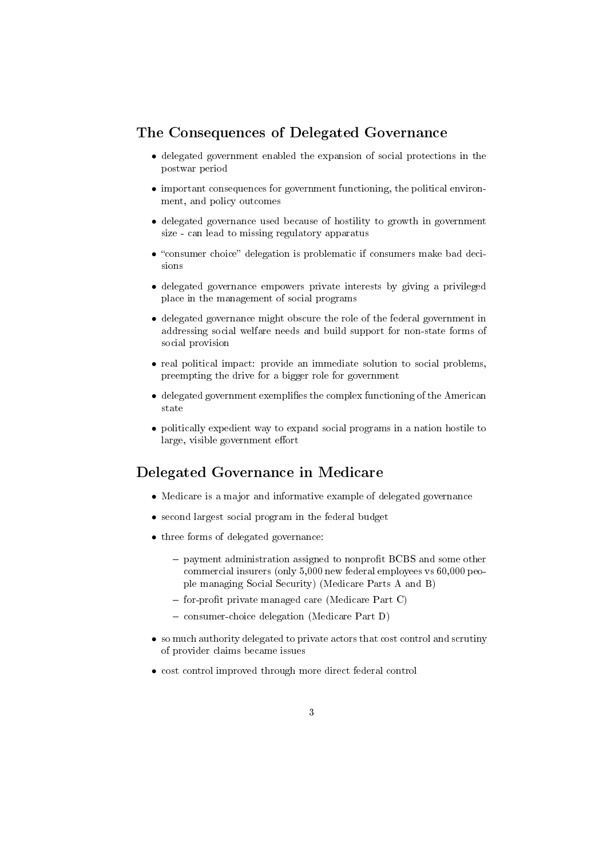### The Consequences of Delegated Governance

- delegated government enabled the expansion of social protections in the postwar period
- important consequences for government functioning, the political environment, and policy outcomes
- delegated governance used because of hostility to growth in government size - can lead to missing regulatory apparatus
- $\bullet$  "consumer choice" delegation is problematic if consumers make bad decisions
- delegated governance empowers private interests by giving a privileged place in the management of social programs
- delegated governance might obscure the role of the federal government in addressing social welfare needs and build support for non-state forms of social provision
- real political impact: provide an immediate solution to social problems, preempting the drive for a bigger role for government
- $\bullet$  delegated government exemplifies the complex functioning of the American state
- politically expedient way to expand social programs in a nation hostile to large, visible government effort

### Delegated Governance in Medicare

- Medicare is a major and informative example of delegated governance
- second largest social program in the federal budget
- three forms of delegated governance:
	- $-$  payment administration assigned to nonprofit BCBS and some other commercial insurers (only 5,000 new federal employees vs 60,000 people managing Social Security) (Medicare Parts A and B)
	- $f$  for-profit private managed care (Medicare Part C)
	- consumer-choice delegation (Medicare Part D)
- so much authority delegated to private actors that cost control and scrutiny of provider claims became issues
- cost control improved through more direct federal control